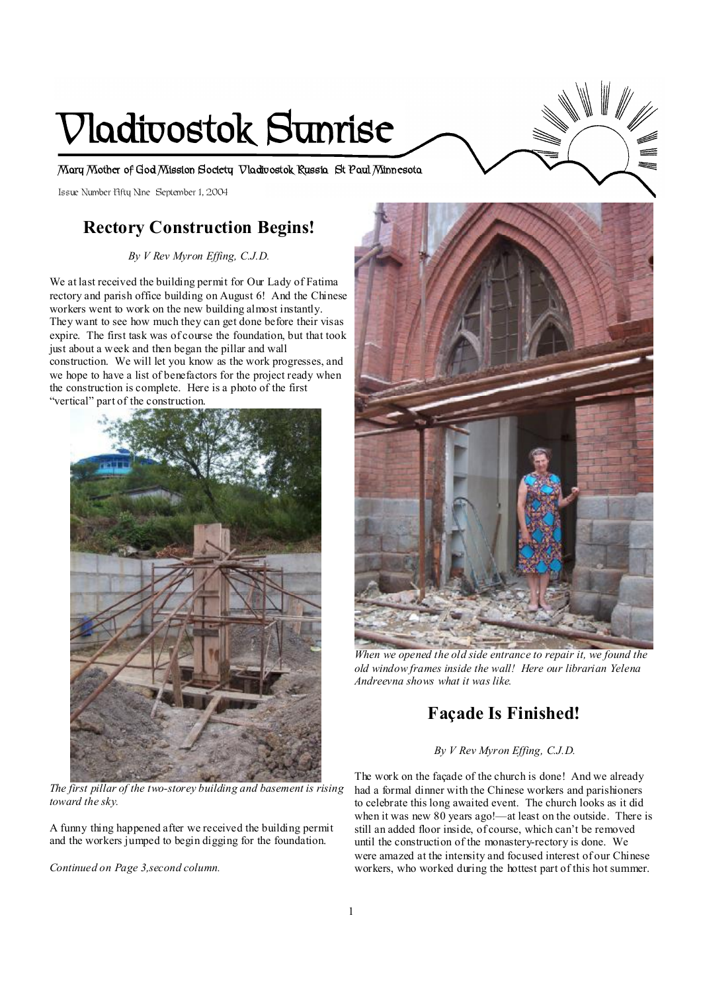# **Vladivostok Sunrise**

**Mary Mother of God Mission Society Vladivostok Russia St Paul Minnesota** 

Issue Number Fifty Nine September 1, 2004

# **Rectory Construction Begins!**

*By V Rev Myron Effing, C.J.D.* 

We at last received the building permit for Our Lady of Fatima rectory and parish office building on August 6! And the Chinese workers went to work on the new building almost instantly. They want to see how much they can get done before their visas expire. The first task was of course the foundation, but that took just about a week and then began the pillar and wall construction. We will let you know as the work progresses, and we hope to have a list of benefactors for the project ready when the construction is complete. Here is a photo of the first "vertical" part of the construction.



 *The first pillar of the two-storey building and basement is rising toward the sky.* 

A funny thing happened after we received the building permit and the workers jumped to begin digging for the foundation.

*Continued on Page 3,second column.* 



*When we opened the old side entrance to repair it, we found the old window frames inside the wall! Here our librarian Yelena Andreevna shows what it was like.* 

# **Façade Is Finished!**

#### *By V Rev Myron Effing, C.J.D.*

The work on the façade of the church is done! And we already had a formal dinner with the Chinese workers and parishioners to celebrate this long awaited event. The church looks as it did when it was new 80 years ago!—at least on the outside. There is still an added floor inside, of course, which can't be removed until the construction of the monastery-rectory is done. We were amazed at the intensity and focused interest of our Chinese workers, who worked during the hottest part of this hot summer.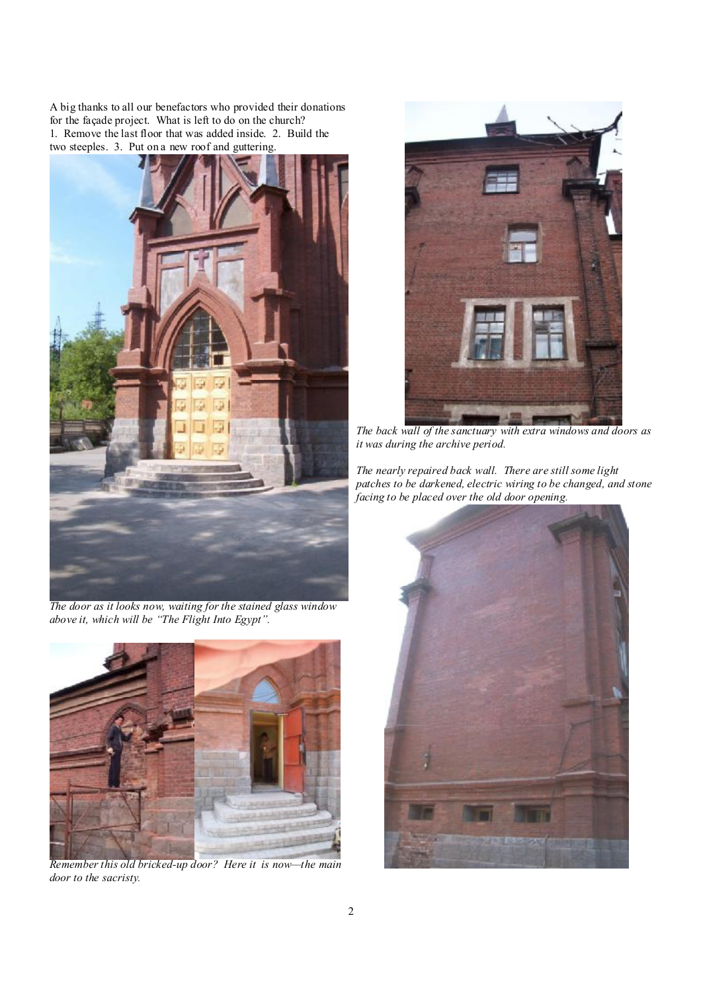A big thanks to all our benefactors who provided their donations for the façade project. What is left to do on the church? 1. Remove the last floor that was added inside. 2. Build the two steeples. 3. Put on a new roof and guttering.







*Remember this old bricked-up door? Here it is now—the main door to the sacristy.* 



 *The back wall of the sanctuary with extra windows and doors as it was during the archive period.* 

*The nearly repaired back wall. There are still some light patches to be darkened, electric wiring to be changed, and stone facing to be placed over the old door opening.* 

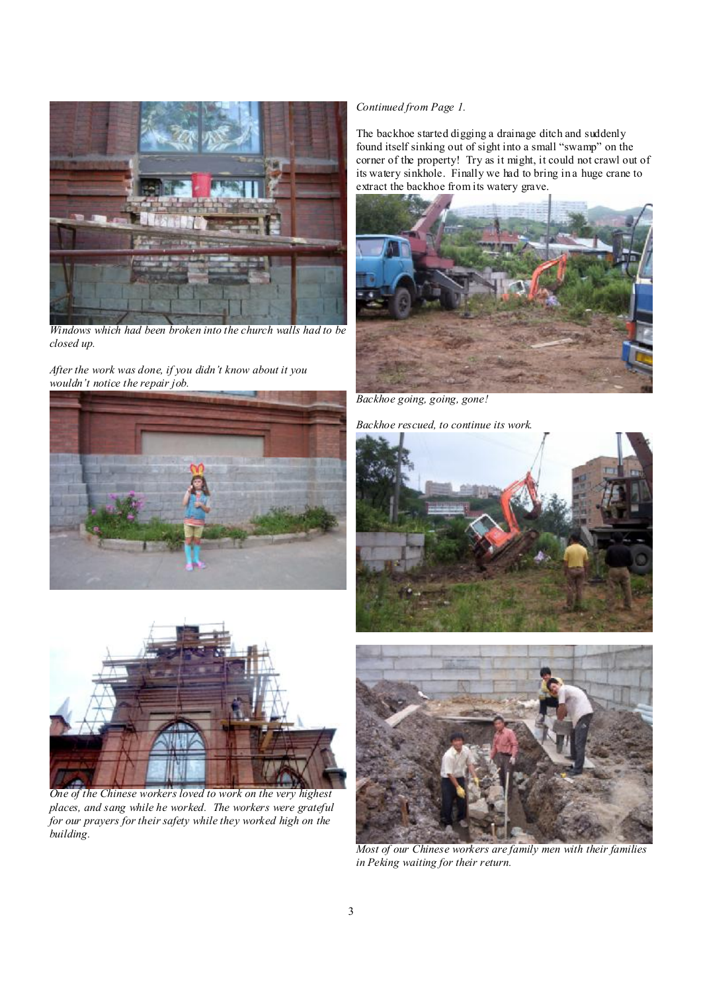

*Windows which had been broken into the church walls had to be closed up.* 

*After the work was done, if you didn't know about it you wouldn't notice the repair job.* 





*One of the Chinese workers loved to work on the very highest places, and sang while he worked. The workers were grateful for our prayers for their safety while they worked high on the building.* 

## *Continued from Page 1.*

The backhoe started digging a drainage ditch and suddenly found itself sinking out of sight into a small "swamp" on the corner of the property! Try as it might, it could not crawl out of its watery sinkhole. Finally we had to bring in a huge crane to extract the backhoe from its watery grave.



*Backhoe going, going, gone!* 

*Backhoe rescued, to continue its work.* 





*Most of our Chinese workers are family men with their families in Peking waiting for their return.*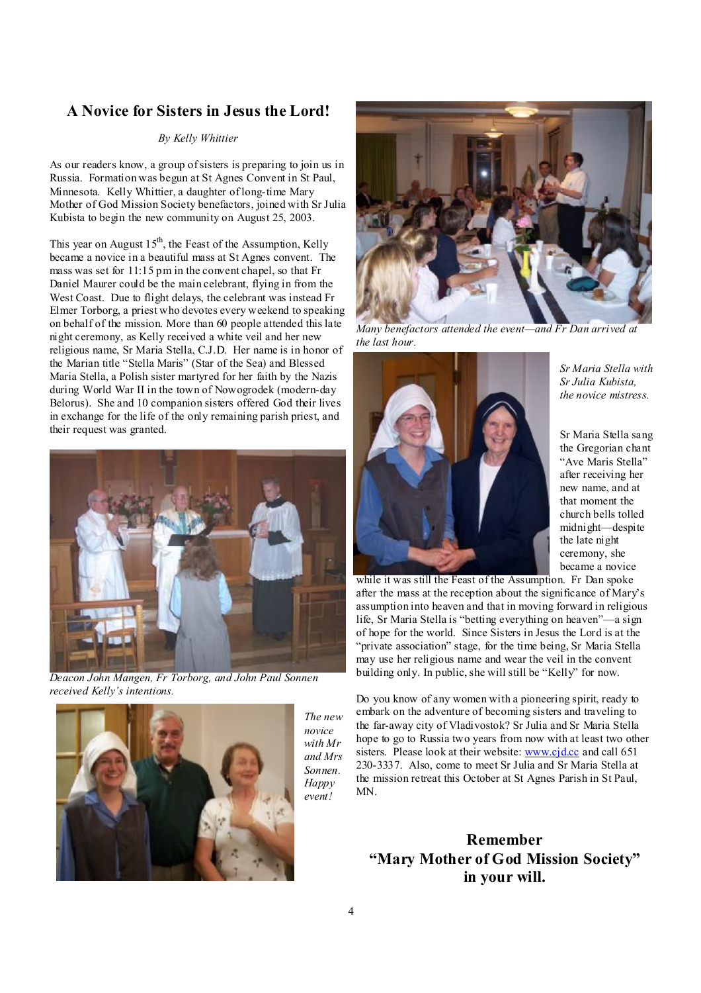## **A Novice for Sisters in Jesus the Lord!**

#### *By Kelly Whittier*

As our readers know, a group ofsisters is preparing to join us in Russia. Formation was begun at St Agnes Convent in St Paul, Minnesota. Kelly Whittier, a daughter of long-time Mary Mother of God Mission Society benefactors, joined with Sr Julia Kubista to begin the new community on August 25, 2003.

This year on August  $15<sup>th</sup>$ , the Feast of the Assumption, Kelly became a novice in a beautiful mass at St Agnes convent. The mass was set for 11:15 pm in the convent chapel, so that Fr Daniel Maurer could be the main celebrant, flying in from the West Coast. Due to flight delays, the celebrant was instead Fr Elmer Torborg, a priest who devotes every weekend to speaking on behalf of the mission. More than 60 people attended this late night ceremony, as Kelly received a white veil and her new religious name, Sr Maria Stella, C.J.D. Her name is in honor of the Marian title "Stella Maris" (Star of the Sea) and Blessed Maria Stella, a Polish sister martyred for her faith by the Nazis during World War II in the town of Nowogrodek (modern-day Belorus). She and 10 companion sisters offered God their lives in exchange for the life of the only remaining parish priest, and their request was granted.



*Deacon John Mangen, Fr Torborg, and John Paul Sonnen received Kelly's intentions.* 



*The new novice with Mr and Mrs Sonnen. Happy event!* 



*Many benefactors attended the event—and Fr Dan arrived at the last hour.* 



*Sr Maria Stella with Sr Julia Kubista, the novice mistress.* 

Sr Maria Stella sang the Gregorian chant "Ave Maris Stella" after receiving her new name, and at that moment the church bells tolled midnight—despite the late night ceremony, she became a novice

while it was still the Feast of the Assumption. Fr Dan spoke after the mass at the reception about the significance of Mary's assumption into heaven and that in moving forward in religious life, Sr Maria Stella is "betting everything on heaven"—a sign of hope for the world. Since Sisters in Jesus the Lord is at the "private association" stage, for the time being, Sr Maria Stella may use her religious name and wear the veil in the convent building only. In public, she will still be "Kelly" for now.

Do you know of any women with a pioneering spirit, ready to embark on the adventure of becoming sisters and traveling to the far-away city of Vladivostok? Sr Julia and Sr Maria Stella hope to go to Russia two years from now with at least two other sisters. Please look at their website: [www.cjd.cc](http://www.cjd.cc) and call 651 230-3337. Also, come to meet Sr Julia and Sr Maria Stella at the mission retreat this October at St Agnes Parish in St Paul, MN.

# **Remember "Mary Mother of God Mission Society" in your will.**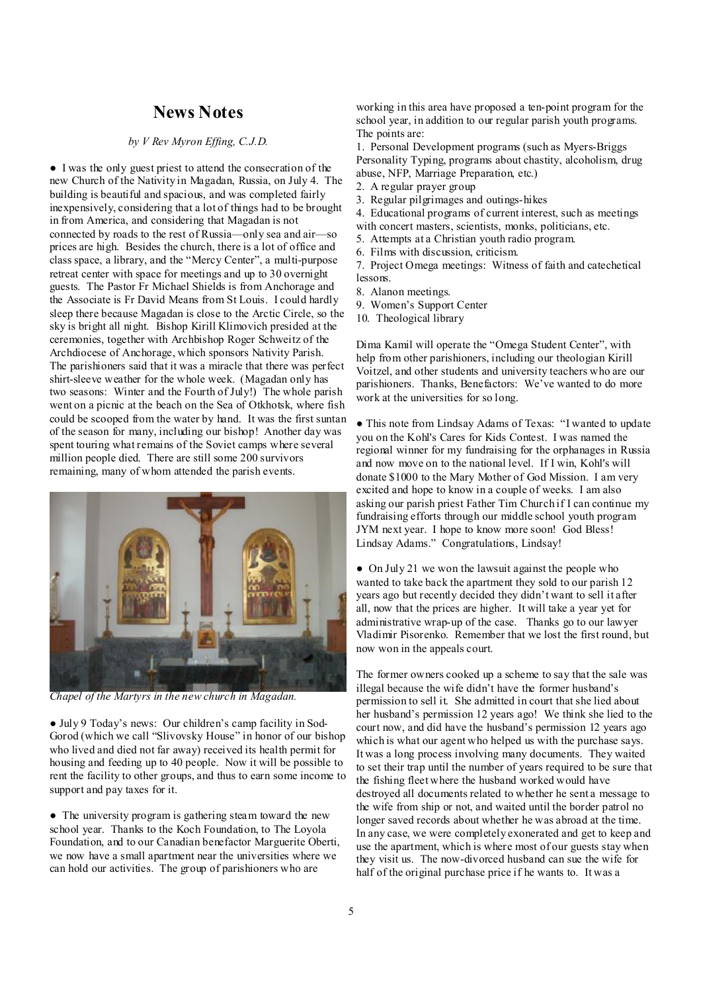## **News Notes**

#### *by V Rev Myron Effing, C.J.D.*

● I was the only guest priest to attend the consecration of the new Church of the Nativity in Magadan, Russia, on July 4. The building is beautiful and spacious, and was completed fairly inexpensively, considering that a lot of things had to be brought in from America, and considering that Magadan is not connected by roads to the rest of Russia—only sea and air—so prices are high. Besides the church, there is a lot of office and class space, a library, and the "Mercy Center", a multi-purpose retreat center with space for meetings and up to 30 overnight guests. The Pastor Fr Michael Shields is from Anchorage and the Associate is Fr David Means from St Louis. I could hardly sleep there because Magadan is close to the Arctic Circle, so the sky is bright all night. Bishop Kirill Klimovich presided at the ceremonies, together with Archbishop Roger Schweitz of the Archdiocese of Anchorage, which sponsors Nativity Parish. The parishioners said that it was a miracle that there was perfect shirt-sleeve weather for the whole week. (Magadan only has two seasons: Winter and the Fourth of July!) The whole parish went on a picnic at the beach on the Sea of Otkhotsk, where fish could be scooped from the water by hand. It was the first suntan of the season for many, including our bishop! Another day was spent touring what remains of the Soviet camps where several million people died. There are still some 200 survivors remaining, many of whom attended the parish events.



*Chapel of the Martyrs in the new church in Magadan.* 

● July 9 Today's news: Our children's camp facility in Sod-Gorod (which we call "Slivovsky House" in honor of our bishop who lived and died not far away) received its health permit for housing and feeding up to 40 people. Now it will be possible to rent the facility to other groups, and thus to earn some income to support and pay taxes for it.

• The university program is gathering steam toward the new school year. Thanks to the Koch Foundation, to The Loyola Foundation, and to our Canadian benefactor Marguerite Oberti, we now have a small apartment near the universities where we can hold our activities. The group of parishioners who are

working in this area have proposed a ten-point program for the school year, in addition to our regular parish youth programs. The points are:

1. Personal Development programs (such as Myers-Briggs Personality Typing, programs about chastity, alcoholism, drug abuse, NFP, Marriage Preparation, etc.)

- 2. A regular prayer group
- 3. Regular pilgrimages and outings-hikes
- 4. Educational programs of current interest, such as meetings
- with concert masters, scientists, monks, politicians, etc.
- 5. Attempts at a Christian youth radio program.
- 6. Films with discussion, criticism.

7. Project Omega meetings: Witness of faith and catechetical lessons.

- 8. Alanon meetings.
- 9. Women's Support Center
- 10. Theological library

Dima Kamil will operate the "Omega Student Center", with help from other parishioners, including our theologian Kirill Voitzel, and other students and university teachers who are our parishioners. Thanks, Benefactors: We've wanted to do more work at the universities for so long.

● This note from Lindsay Adams of Texas: "I wanted to update you on the Kohl's Cares for Kids Contest. I was named the regional winner for my fundraising for the orphanages in Russia and now move on to the national level. If I win, Kohl's will donate \$1000 to the Mary Mother of God Mission. I am very excited and hope to know in a couple of weeks. I am also asking our parish priest Father Tim Church if I can continue my fundraising efforts through our middle school youth program JYM next year. I hope to know more soon! God Bless! Lindsay Adams." Congratulations, Lindsay!

• On July 21 we won the lawsuit against the people who wanted to take back the apartment they sold to our parish 12 years ago but recently decided they didn't want to sell it after all, now that the prices are higher. It will take a year yet for administrative wrap-up of the case. Thanks go to our lawyer Vladimir Pisorenko. Remember that we lost the first round, but now won in the appeals court.

The former owners cooked up a scheme to say that the sale was illegal because the wife didn't have the former husband's permission to sell it. She admitted in court that she lied about her husband's permission 12 years ago! We think she lied to the court now, and did have the husband's permission 12 years ago which is what our agent who helped us with the purchase says. It was a long process involving many documents. They waited to set their trap until the number of years required to be sure that the fishing fleet where the husband worked would have destroyed all documents related to whether he sent a message to the wife from ship or not, and waited until the border patrol no longer saved records about whether he was abroad at the time. In any case, we were completely exonerated and get to keep and use the apartment, which is where most of our guests stay when they visit us. The now-divorced husband can sue the wife for half of the original purchase price if he wants to. It was a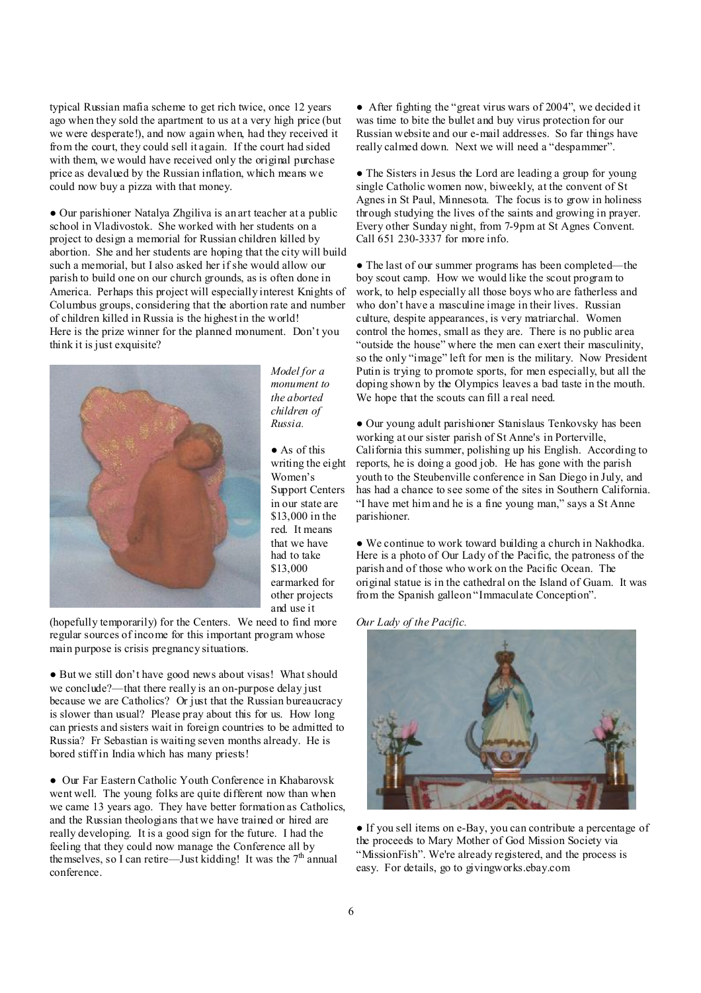typical Russian mafia scheme to get rich twice, once 12 years ago when they sold the apartment to us at a very high price (but we were desperate!), and now again when, had they received it from the court, they could sell it again. If the court had sided with them, we would have received only the original purchase price as devalued by the Russian inflation, which means we could now buy a pizza with that money.

● Our parishioner Natalya Zhgiliva is an art teacher at a public school in Vladivostok. She worked with her students on a project to design a memorial for Russian children killed by abortion. She and her students are hoping that the city will build such a memorial, but I also asked her if she would allow our parish to build one on our church grounds, as is often done in America. Perhaps this project will especially interest Knights of Columbus groups, considering that the abortion rate and number of children killed in Russia is the highest in the world! Here is the prize winner for the planned monument. Don't you think it is just exquisite?



*Model for a monument to the aborted children of Russia.* 

● As of this writing the eight Women's Support Centers in our state are \$13,000 in the red. It means that we have had to take \$13,000 earmarked for other projects and use it

(hopefully temporarily) for the Centers. We need to find more regular sources of income for this important program whose main purpose is crisis pregnancy situations.

● But we still don't have good news about visas! What should we conclude?—that there really is an on-purpose delay just because we are Catholics? Or just that the Russian bureaucracy is slower than usual? Please pray about this for us. How long can priests and sisters wait in foreign countries to be admitted to Russia? Fr Sebastian is waiting seven months already. He is bored stiff in India which has many priests!

● Our Far Eastern Catholic Youth Conference in Khabarovsk went well. The young folks are quite different now than when we came 13 years ago. They have better formation as Catholics, and the Russian theologians that we have trained or hired are really developing. It is a good sign for the future. I had the feeling that they could now manage the Conference all by the mselves, so I can retire—Just kidding! It was the  $7<sup>th</sup>$  annual conference.

● After fighting the "great virus wars of 2004", we decided it was time to bite the bullet and buy virus protection for our Russian website and our e-mail addresses. So far things have really calmed down. Next we will need a "despammer".

● The Sisters in Jesus the Lord are leading a group for young single Catholic women now, biweekly, at the convent of St Agnes in St Paul, Minnesota. The focus is to grow in holiness through studying the lives of the saints and growing in prayer. Every other Sunday night, from 7-9pm at St Agnes Convent. Call 651 230-3337 for more info.

● The last of our summer programs has been completed—the boy scout camp. How we would like the scout program to work, to help especially all those boys who are fatherless and who don't have a masculine image in their lives. Russian culture, despite appearances, is very matriarchal. Women control the homes, small as they are. There is no public area "outside the house" where the men can exert their masculinity, so the only "image" left for men is the military. Now President Putin is trying to promote sports, for men especially, but all the doping shown by the Olympics leaves a bad taste in the mouth. We hope that the scouts can fill a real need.

● Our young adult parishioner Stanislaus Tenkovsky has been working at our sister parish of St Anne's in Porterville, California this summer, polishing up his English. According to reports, he is doing a good job. He has gone with the parish youth to the Steubenville conference in San Diego in July, and has had a chance to see some of the sites in Southern California. "I have met him and he is a fine young man," says a St Anne parishioner.

● We continue to work toward building a church in Nakhodka. Here is a photo of Our Lady of the Pacific, the patroness of the parish and of those who work on the Pacific Ocean. The original statue is in the cathedral on the Island of Guam. It was from the Spanish galleon "Immaculate Conception".

*Our Lady of the Pacific.* 



● If you sell items on e-Bay, you can contribute a percentage of the proceeds to Mary Mother of God Mission Society via "MissionFish". We're already registered, and the process is easy. For details, go to givingworks.ebay.com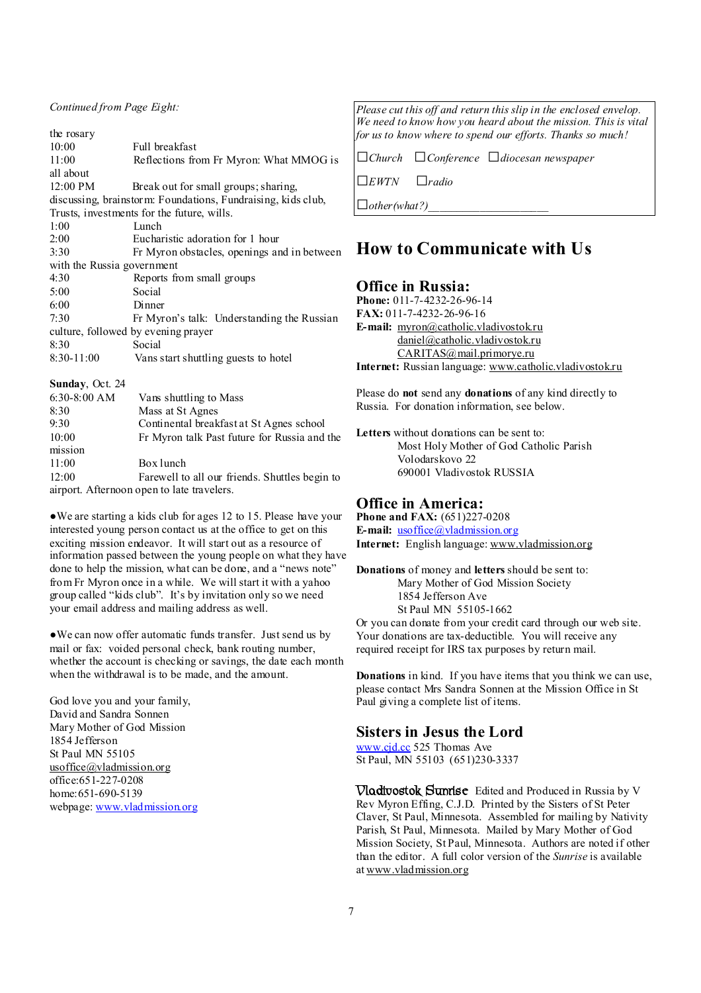#### *Continued from Page Eight:*

| the rosary                                                   |                                             |  |
|--------------------------------------------------------------|---------------------------------------------|--|
| 10:00                                                        | Full breakfast                              |  |
| 11:00                                                        | Reflections from Fr Myron. What MMOG is     |  |
| all about                                                    |                                             |  |
| 12:00 PM                                                     | Break out for small groups; sharing,        |  |
| discussing, brainstorm: Foundations, Fundraising, kids club, |                                             |  |
| Trusts, investments for the future, wills.                   |                                             |  |
| 1:00                                                         | Lunch                                       |  |
| 2:00                                                         | Eucharistic adoration for 1 hour            |  |
| 3:30                                                         | Fr Myron obstacles, openings and in between |  |
| with the Russia government                                   |                                             |  |
| 4:30                                                         | Reports from small groups                   |  |
| 5:00                                                         | Social                                      |  |
| 6:00                                                         | Dinner                                      |  |
| 7:30                                                         | Fr Myron's talk: Understanding the Russian  |  |
| culture, followed by evening prayer                          |                                             |  |
| 8:30                                                         | Social                                      |  |
| $8:30-11:00$                                                 | Vans start shuttling guests to hotel        |  |
|                                                              |                                             |  |

#### **Sunday**, Oct. 24

| 6:30-8:00 AM | Vans shuttling to Mass                         |
|--------------|------------------------------------------------|
| 8:30         | Mass at St Agnes                               |
| 9:30         | Continental breakfast at St Agnes school       |
| 10:00        | Fr Myron talk Past future for Russia and the   |
| mission      |                                                |
| 11:00        | Box lunch                                      |
| 12:00        | Farewell to all our friends. Shuttles begin to |
|              | airport. Afternoon open to late travelers.     |

●We are starting a kids club for ages 12 to 15. Please have your interested young person contact us at the office to get on this exciting mission endeavor. It will start out as a resource of information passed between the young people on what they have done to help the mission, what can be done, and a "news note" from Fr Myron once in a while. We will start it with a yahoo group called "kids club". It's by invitation only so we need your email address and mailing address as well.

●We can now offer automatic funds transfer. Just send us by mail or fax: voided personal check, bank routing number, whether the account is checking or savings, the date each month when the withdrawal is to be made, and the amount.

God love you and your family, David and Sandra Sonnen Mary Mother of God Mission 1854 Jefferson St Paul MN 55105 usoffice $@$ vladmission.org office:651-227-0208 home:651-690-5139 webpage: [www.vladmission.org](http://www.vladmission.org) *Please cut this off and return this slip in the enclosed envelop. We need to know how you heard about the mission. This is vital for us to know where to spend our efforts. Thanks so much!* 

*□Church □Conference □diocesan newspaper* 

*□EWTN □radio* 

 $\Box$ *other(what?)* 

## **How to Communicate with Us**

#### **Office in Russia:**

**Phone:** 011-7-4232-26-96-14 **FAX:** 011-7-4232-26-96-16 **E-mail:** myron@catholic.vladivostokru [daniel@catholic.vladivostok.ru](mailto:daniel@catholic.vladivostok.ru) [CARITAS@mail.primorye.ru](mailto:CARITAS@mail.primorye.ru) **Internet:** Russian language: [www.catholic.vladivostok.ru](http://www.catholic.vladivostok.ru)

Please do **not** send any **donations** of any kind directly to Russia. For donation information, see below.

**Letters** without donations can be sent to: Most Holy Mother of God Catholic Parish Volodarskovo 22 690001 Vladivostok RUSSIA

## **Office in America:**

**Phone and FAX:** (651)227-0208 **E-mail:** <u>[usoffice@vladmission.org](mailto:usoffice@vladmission.org)</u> **Internet:** English language: [www.vladmission.org](http://www.vladmission.org)

**Donations** of money and **letters** should be sent to: Mary Mother of God Mission Society 1854 Jefferson Ave St Paul MN 55105-1662

Or you can donate from your credit card through our web site. Your donations are tax-deductible. You will receive any required receipt for IRS tax purposes by return mail.

**Donations** in kind. If you have items that you think we can use, please contact Mrs Sandra Sonnen at the Mission Office in St Paul giving a complete list of items.

#### **Sisters in Jesus the Lord**

[www.cjd.cc](http://www.cjd.cc) 525 Thomas Ave St Paul, MN 55103 (651)230-3337

**Vladivostok Sunrise** Edited and Produced in Russia by V Rev Myron Effing, C.J.D. Printed by the Sisters of St Peter Claver, St Paul, Minnesota. Assembled for mailing by Nativity Parish, St Paul, Minnesota. Mailed by Mary Mother of God Mission Society, St Paul, Minnesota. Authors are noted if other than the editor. A full color version of the *Sunrise* is available at [www.vladmission.org](http://www.vladmission.org)